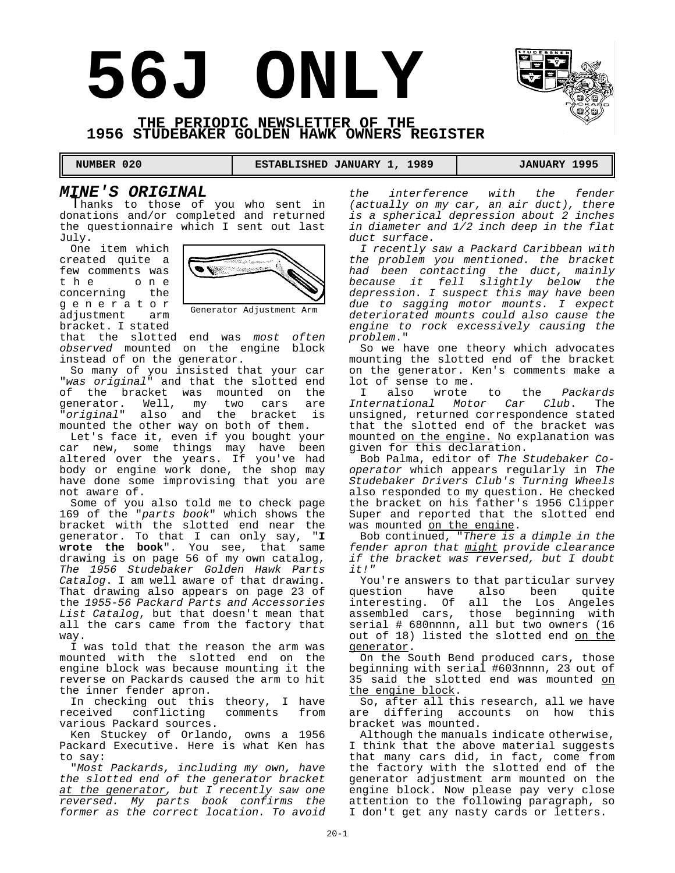# **56J ONLY**



 **NUMBER 020 ESTABLISHED JANUARY 1, 1989 JANUARY 1995** 

# *MINE'S ORIGINAL*

Thanks to those of you who sent in donations and/or completed and returned the questionnaire which I sent out last July.

One item which created quite a few comments was the one concerning the generator adjustment arm bracket. I stated



Generator Adjustment Arm

that the slotted end was *most often observed* mounted on the engine block instead of on the generator.

So many of you insisted that your car "*was original*" and that the slotted end of the bracket was mounted on the generator. Well, my two cars are "*original*" also and the bracket is mounted the other way on both of them.

Let's face it, even if you bought your car new, some things may have been altered over the years. If you've had body or engine work done, the shop may have done some improvising that you are not aware of.

Some of you also told me to check page 169 of the "*parts book*" which shows the bracket with the slotted end near the generator. To that I can only say, "**I wrote the book**". You see, that same drawing is on page 56 of my own catalog, *The 1956 Studebaker Golden Hawk Parts Catalog*. I am well aware of that drawing. That drawing also appears on page 23 of the *1955-56 Packard Parts and Accessories List Catalog*, but that doesn't mean that all the cars came from the factory that way.

I was told that the reason the arm was mounted with the slotted end on the engine block was because mounting it the reverse on Packards caused the arm to hit the inner fender apron.

In checking out this theory, I have received conflicting comments from various Packard sources.

Ken Stuckey of Orlando, owns a 1956 Packard Executive. Here is what Ken has to say:

"*Most Packards, including my own, have the slotted end of the generator bracket at the generator, but I recently saw one reversed. My parts book confirms the former as the correct location. To avoid*

*the interference with the fender (actually on my car, an air duct), there is a spherical depression about 2 inches in diameter and 1/2 inch deep in the flat duct surface.*

*I recently saw a Packard Caribbean with the problem you mentioned. the bracket had been contacting the duct, mainly because it fell slightly below the depression. I suspect this may have been due to sagging motor mounts. I expect deteriorated mounts could also cause the engine to rock excessively causing the problem*."

So we have one theory which advocates mounting the slotted end of the bracket on the generator. Ken's comments make a lot of sense to me.<br>I also wrote

also wrote to the *Packards International Motor Car Club*. The unsigned, returned correspondence stated that the slotted end of the bracket was mounted on the engine. No explanation was given for this declaration.

Bob Palma, editor of *The Studebaker Cooperator* which appears regularly in *The Studebaker Drivers Club's Turning Wheels* also responded to my question. He checked the bracket on his father's 1956 Clipper Super and reported that the slotted end was mounted on the engine.

Bob continued, "*There is a dimple in the fender apron that might provide clearance if the bracket was reversed, but I doubt it!"*

You're answers to that particular survey question have also been quite interesting. Of all the Los Angeles assembled cars, those beginning with serial # 680nnnn, all but two owners (16 out of 18) listed the slotted end on the generator.

On the South Bend produced cars, those beginning with serial #603nnnn, 23 out of 35 said the slotted end was mounted on the engine block.

So, after all this research, all we have are differing accounts on how this bracket was mounted.

Although the manuals indicate otherwise, I think that the above material suggests that many cars did, in fact, come from the factory with the slotted end of the generator adjustment arm mounted on the engine block. Now please pay very close attention to the following paragraph, so I don't get any nasty cards or letters.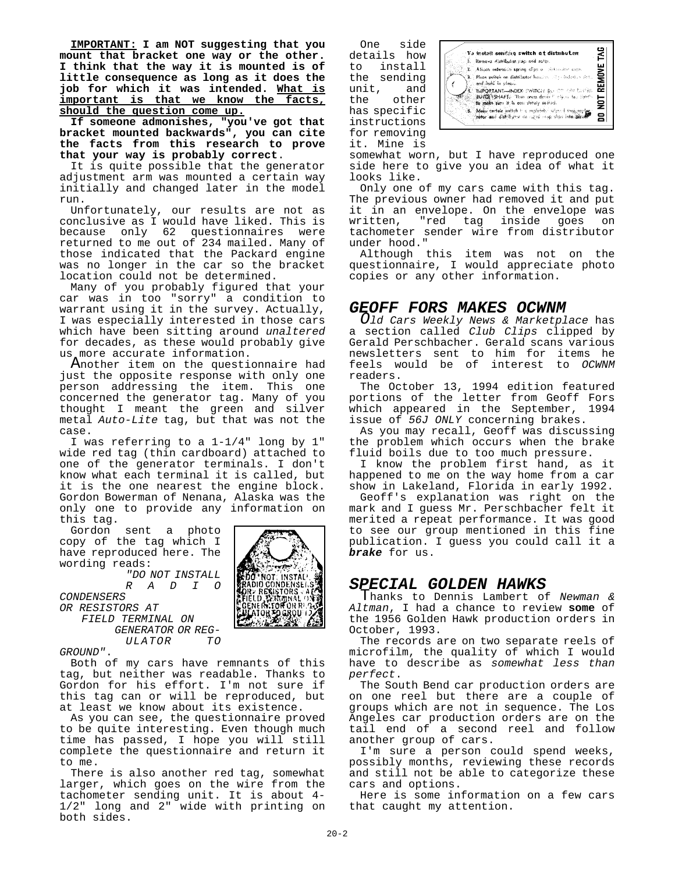**IMPORTANT: I am NOT suggesting that you mount that bracket one way or the other. I think that the way it is mounted is of little consequence as long as it does the job for which it was intended. What is important is that we know the facts, should the question come up.**

**If someone admonishes, "you've got that bracket mounted backwards", you can cite the facts from this research to prove that your way is probably correct**.

It is quite possible that the generator adjustment arm was mounted a certain way initially and changed later in the model run.

Unfortunately, our results are not as conclusive as I would have liked. This is because only 62 questionnaires were returned to me out of 234 mailed. Many of those indicated that the Packard engine was no longer in the car so the bracket location could not be determined.

Many of you probably figured that your car was in too "sorry" a condition to warrant using it in the survey. Actually, I was especially interested in those cars which have been sitting around *unaltered* for decades, as these would probably give us more accurate information.

Another item on the questionnaire had just the opposite response with only one person addressing the item. This one concerned the generator tag. Many of you thought I meant the green and silver metal *Auto-Lite* tag, but that was not the case.

I was referring to a 1-1/4" long by 1" wide red tag (thin cardboard) attached to one of the generator terminals. I don't know what each terminal it is called, but it is the one nearest the engine block. Gordon Bowerman of Nenana, Alaska was the only one to provide any information on this tag.

Gordon sent a photo copy of the tag which I have reproduced here. The wording reads:

*"DO NOT INSTALL RADIO*

*CONDENSERS* 

*OR RESISTORS AT FIELD TERMINAL ON GENERATOR OR REG-* $ULATOR$ 

ADIF

*GROUND"*.

Both of my cars have remnants of this tag, but neither was readable. Thanks to Gordon for his effort. I'm not sure if this tag can or will be reproduced, but at least we know about its existence.

As you can see, the questionnaire proved to be quite interesting. Even though much time has passed, I hope you will still complete the questionnaire and return it to me.

There is also another red tag, somewhat larger, which goes on the wire from the tachometer sending unit. It is about 4- 1/2" long and 2" wide with printing on both sides.

One side 꾑 .<br>To install sending switch of distribution details how .<br>Remova distributat: Jiep and rofar. **MOVE** to install African extension spring ellips a chimicator caps the sending<br>unit, and Э. .<br>**Place switch on distributor** housing will profecture slets.<br>and there is places. , and that in plaque.<br>That ORTANG-HADEX: EWITCH BU OF CIN LISTRE.<br>COUNCILISTIANT Than onces devine may be black that it.<br>The problemant is in easy plately seried. 믍  $\overline{5}$ the other Maku certain awitch h c mplifier adapted than rapid has specific s, 음 instructions for removing

somewhat worn, but I have reproduced one side here to give you an idea of what it looks like.

unit,

it. Mine is

Only one of my cars came with this tag. The previous owner had removed it and put it in an envelope. On the envelope was written, "red tag inside goes on tachometer sender wire from distributor under hood."

Although this item was not on the questionnaire, I would appreciate photo copies or any other information.

# *GEOFF FORS MAKES OCWNM*

*Old Cars Weekly News & Marketplace* has a section called *Club Clips* clipped by Gerald Perschbacher. Gerald scans various newsletters sent to him for items he feels would be of interest to *OCWNM* readers.

The October 13, 1994 edition featured portions of the letter from Geoff Fors which appeared in the September, 1994 issue of *56J ONLY* concerning brakes.

As you may recall, Geoff was discussing the problem which occurs when the brake fluid boils due to too much pressure.

I know the problem first hand, as it happened to me on the way home from a car show in Lakeland, Florida in early 1992.

Geoff's explanation was right on the mark and I guess Mr. Perschbacher felt it merited a repeat performance. It was good to see our group mentioned in this fine publication. I guess you could call it a *brake* for us.

# *SPECIAL GOLDEN HAWKS*

Thanks to Dennis Lambert of *Newman & Altman*, I had a chance to review **some** of the 1956 Golden Hawk production orders in October, 1993.

The records are on two separate reels of microfilm, the quality of which I would have to describe as *somewhat less than perfect*.

The South Bend car production orders are on one reel but there are a couple of groups which are not in sequence. The Los Angeles car production orders are on the tail end of a second reel and follow another group of cars.

I'm sure a person could spend weeks, possibly months, reviewing these records and still not be able to categorize these cars and options.

Here is some information on a few cars that caught my attention.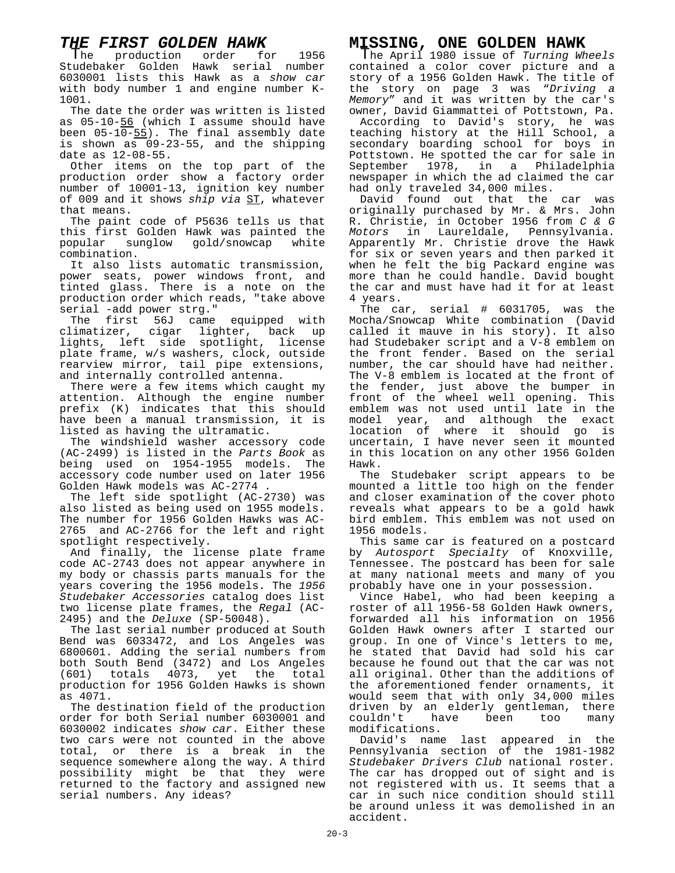# *THE FIRST GOLDEN HAWK*

The production order for 1956 Studebaker Golden Hawk serial number 6030001 lists this Hawk as a *show car* with body number 1 and engine number K-1001.

The date the order was written is listed as 05-10-56 (which I assume should have been  $05-10-55$ ). The final assembly date is shown as 09-23-55, and the shipping date as 12-08-55.

Other items on the top part of the production order show a factory order number of 10001-13, ignition key number of 009 and it shows *ship via* ST, whatever that means.

The paint code of P5636 tells us that this first Golden Hawk was painted the popular sunglow gold/snowcap white combination.

It also lists automatic transmission, power seats, power windows front, and tinted glass. There is a note on the production order which reads, "take above serial -add power strg."

The first 56J came equipped with climatizer, cigar lighter, back up lights, left side spotlight, license plate frame, w/s washers, clock, outside rearview mirror, tail pipe extensions, and internally controlled antenna.

There were a few items which caught my attention. Although the engine number prefix (K) indicates that this should have been a manual transmission, it is listed as having the ultramatic.

The windshield washer accessory code (AC-2499) is listed in the *Parts Book* as being used on 1954-1955 models. The accessory code number used on later 1956 Golden Hawk models was AC-2774 .

The left side spotlight (AC-2730) was also listed as being used on 1955 models. The number for 1956 Golden Hawks was AC-2765 and AC-2766 for the left and right spotlight respectively.

And finally, the license plate frame code AC-2743 does not appear anywhere in my body or chassis parts manuals for the years covering the 1956 models. The *1956 Studebaker Accessories* catalog does list two license plate frames, the *Regal* (AC-2495) and the *Deluxe* (SP-50048).

The last serial number produced at South Bend was 6033472, and Los Angeles was 6800601. Adding the serial numbers from both South Bend (3472) and Los Angeles (601) totals 4073, yet the total production for 1956 Golden Hawks is shown as 4071.

The destination field of the production order for both Serial number 6030001 and 6030002 indicates *show car*. Either these two cars were not counted in the above total, or there is a break in the sequence somewhere along the way. A third possibility might be that they were returned to the factory and assigned new serial numbers. Any ideas?

# **MISSING, ONE GOLDEN HAWK** The April 1980 issue of *Turning Wheels*

contained a color cover picture and a story of a 1956 Golden Hawk. The title of the story on page 3 was "*Driving a Memory*" and it was written by the car's owner, David Giammattei of Pottstown, Pa.

According to David's story, he was teaching history at the Hill School, a secondary boarding school for boys in Pottstown. He spotted the car for sale in September 1978, in a Philadelphia newspaper in which the ad claimed the car had only traveled 34,000 miles.

David found out that the car was originally purchased by Mr. & Mrs. John R. Christie, in October 1956 from *C & G Motors* in Laureldale, Pennsylvania. Apparently Mr. Christie drove the Hawk for six or seven years and then parked it when he felt the big Packard engine was more than he could handle. David bought the car and must have had it for at least 4 years.

The car, serial # 6031705, was the Mocha/Snowcap White combination (David called it mauve in his story). It also had Studebaker script and a V-8 emblem on the front fender. Based on the serial number, the car should have had neither. The V-8 emblem is located at the front of the fender, just above the bumper in front of the wheel well opening. This emblem was not used until late in the model year, and although the exact location of where it should go is uncertain, I have never seen it mounted in this location on any other 1956 Golden Hawk.

The Studebaker script appears to be mounted a little too high on the fender and closer examination of the cover photo reveals what appears to be a gold hawk bird emblem. This emblem was not used on 1956 models.

This same car is featured on a postcard by *Autosport Specialty* of Knoxville, Tennessee. The postcard has been for sale at many national meets and many of you probably have one in your possession.

Vince Habel, who had been keeping a roster of all 1956-58 Golden Hawk owners, forwarded all his information on 1956 Golden Hawk owners after I started our group. In one of Vince's letters to me, he stated that David had sold his car because he found out that the car was not all original. Other than the additions of the aforementioned fender ornaments, it would seem that with only 34,000 miles driven by an elderly gentleman, there<br>couldn't have been too many couldn't have been too many modifications.

David's name last appeared in the Pennsylvania section of the 1981-1982 *Studebaker Drivers Club* national roster. The car has dropped out of sight and is not registered with us. It seems that a car in such nice condition should still be around unless it was demolished in an accident.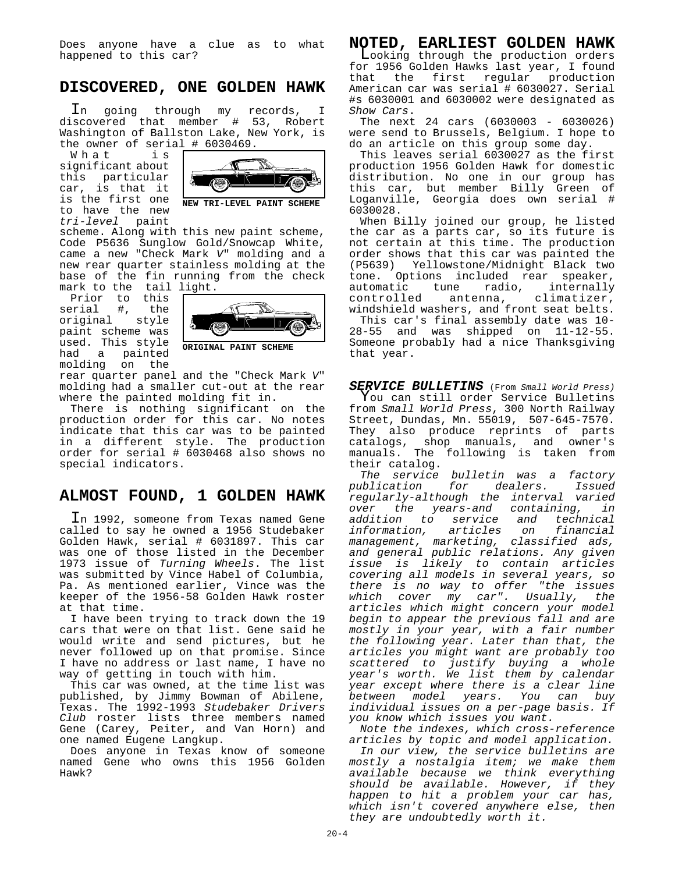Does anyone have a clue as to what happened to this car?

# **DISCOVERED, ONE GOLDEN HAWK**

In going through my records, I discovered that member # 53, Robert Washington of Ballston Lake, New York, is the owner of serial # 6030469.

What is significant about this particular car, is that it is the first one to have the new *tri-level* paint



scheme. Along with this new paint scheme, Code P5636 Sunglow Gold/Snowcap White, came a new "Check Mark *V*" molding and a new rear quarter stainless molding at the base of the fin running from the check mark to the tail light.

Prior to this serial #, the<br>original style original paint scheme was used. This style had a painted molding on the



**ORIGINAL PAINT SCHEME**

rear quarter panel and the "Check Mark *V*" molding had a smaller cut-out at the rear where the painted molding fit in.

There is nothing significant on the production order for this car. No notes indicate that this car was to be painted in a different style. The production order for serial # 6030468 also shows no special indicators.

## **ALMOST FOUND, 1 GOLDEN HAWK**

In 1992, someone from Texas named Gene called to say he owned a 1956 Studebaker Golden Hawk, serial # 6031897. This car was one of those listed in the December 1973 issue of *Turning Wheels*. The list was submitted by Vince Habel of Columbia, Pa. As mentioned earlier, Vince was the keeper of the 1956-58 Golden Hawk roster at that time.

I have been trying to track down the 19 cars that were on that list. Gene said he would write and send pictures, but he never followed up on that promise. Since I have no address or last name, I have no way of getting in touch with him.

This car was owned, at the time list was published, by Jimmy Bowman of Abilene, Texas. The 1992-1993 *Studebaker Drivers Club* roster lists three members named Gene (Carey, Peiter, and Van Horn) and one named Eugene Langkup.

Does anyone in Texas know of someone named Gene who owns this 1956 Golden Hawk?

**NOTED, EARLIEST GOLDEN HAWK** Looking through the production orders for 1956 Golden Hawks last year, I found that the first regular production American car was serial # 6030027. Serial #s 6030001 and 6030002 were designated as *Show Cars*.

The next 24 cars (6030003 - 6030026) were send to Brussels, Belgium. I hope to do an article on this group some day.

This leaves serial 6030027 as the first production 1956 Golden Hawk for domestic distribution. No one in our group has this car, but member Billy Green of Loganville, Georgia does own serial # 6030028.

When Billy joined our group, he listed the car as a parts car, so its future is not certain at this time. The production order shows that this car was painted the (P5639) Yellowstone/Midnight Black two tone. Options included rear speaker,<br>automatic tune radio, internally automatic tune radio, internally<br>controlled antenna, climatizer, antenna, climatizer, windshield washers, and front seat belts.

This car's final assembly date was 10- 28-55 and was shipped on 11-12-55. Someone probably had a nice Thanksgiving that year.

*SERVICE BULLETINS* (From *Small World Press)* You can still order Service Bulletins from *Small World Press*, 300 North Railway Street, Dundas, Mn. 55019, 507-645-7570. They also produce reprints of parts catalogs, shop manuals, and owner's manuals. The following is taken from their catalog.

*The service bulletin was a factory for dealers. regularly-although the interval varied over the years-and containing, in addition to service and technical information, articles on financial management, marketing, classified ads, and general public relations. Any given issue is likely to contain articles covering all models in several years, so there is no way to offer "the issues which cover my car". Usually, the articles which might concern your model begin to appear the previous fall and are mostly in your year, with a fair number the following year. Later than that, the articles you might want are probably too scattered to justify buying a whole year's worth. We list them by calendar year except where there is a clear line between model years. You can buy individual issues on a per-page basis. If you know which issues you want.*

*Note the indexes, which cross-reference articles by topic and model application.*

*In our view, the service bulletins are mostly a nostalgia item; we make them available because we think everything should be available. However, if they happen to hit a problem your car has, which isn't covered anywhere else, then they are undoubtedly worth it.*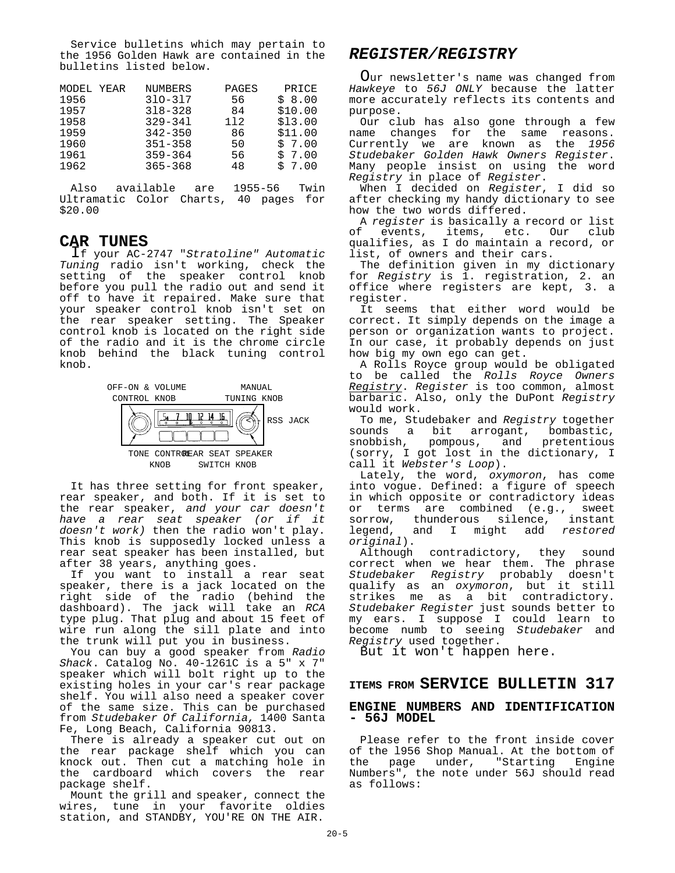Service bulletins which may pertain to the 1956 Golden Hawk are contained in the bulletins listed below.

| MODEL YEAR | <b>NUMBERS</b> | PAGES | PRICE   |
|------------|----------------|-------|---------|
| 1956       | $310 - 317$    | 56    | \$8.00  |
| 1957       | $318 - 328$    | 84    | \$10.00 |
| 1958       | $329 - 341$    | 112   | \$13.00 |
| 1959       | $342 - 350$    | 86    | \$11.00 |
| 1960       | $351 - 358$    | 50    | \$7.00  |
| 1961       | $359 - 364$    | 56    | \$7.00  |
| 1962       | $365 - 368$    | 48    | \$7.00  |

Also available are 1955-56 Twin Ultramatic Color Charts, 40 pages for \$20.00

### **CAR TUNES**

If your AC-2747 "*Stratoline" Automatic Tuning* radio isn't working, check the setting of the speaker control knob before you pull the radio out and send it off to have it repaired. Make sure that your speaker control knob isn't set on the rear speaker setting. The Speaker control knob is located on the right side of the radio and it is the chrome circle knob behind the black tuning control knob.



KNOB SWITCH KNOB

It has three setting for front speaker, rear speaker, and both. If it is set to the rear speaker, *and your car doesn't have a rear seat speaker (or if it doesn't work)* then the radio won't play. This knob is supposedly locked unless a rear seat speaker has been installed, but after 38 years, anything goes.

If you want to install a rear seat speaker, there is a jack located on the right side of the radio (behind the dashboard). The jack will take an *RCA* type plug. That plug and about 15 feet of wire run along the sill plate and into the trunk will put you in business.

You can buy a good speaker from *Radio Shack*. Catalog No. 40-1261C is a 5" x 7" speaker which will bolt right up to the existing holes in your car's rear package shelf. You will also need a speaker cover of the same size. This can be purchased from *Studebaker Of California,* 1400 Santa Fe, Long Beach, California 90813.

There is already a speaker cut out on the rear package shelf which you can knock out. Then cut a matching hole in the cardboard which covers the rear package shelf.

Mount the grill and speaker, connect the wires, tune in your favorite oldies station, and STANDBY, YOU'RE ON THE AIR.

# *REGISTER/REGISTRY*

Our newsletter's name was changed from *Hawkeye* to *56J ONLY* because the latter more accurately reflects its contents and purpose.

Our club has also gone through a few name changes for the same reasons. Currently we are known as the *1956 Studebaker Golden Hawk Owners Register*. Many people insist on using the word *Registry* in place of *Register*.

When I decided on *Register*, I did so after checking my handy dictionary to see how the two words differed.

A *register* is basically a record or list of events, items, etc. Our club qualifies, as I do maintain a record, or list, of owners and their cars.

The definition given in my dictionary for *Registry* is 1. registration, 2. an office where registers are kept, 3. a register.

It seems that either word would be correct. It simply depends on the image a person or organization wants to project. In our case, it probably depends on just how big my own ego can get.

A Rolls Royce group would be obligated to be called the *Rolls Royce Owners Registry*. *Register* is too common, almost barbaric. Also, only the DuPont *Registry* would work.

To me, Studebaker and *Registry* together a bit arrogant, bombastic, snobbish, pompous, and pretentious (sorry, I got lost in the dictionary, I call it *Webster's Loop*).

Lately, the word, *oxymoron*, has come into vogue. Defined: a figure of speech in which opposite or contradictory ideas or terms are combined (e.g., sweet sorrow, thunderous silence, instant<br>legend, and I might add restored and I might add *restored original*).

Although contradictory, they sound correct when we hear them. The phrase *Studebaker Registry* probably doesn't qualify as an *oxymoron*, but it still strikes me as a bit contradictory. *Studebaker Register* just sounds better to my ears. I suppose I could learn to become numb to seeing *Studebaker* and *Registry* used together.

But it won't happen here.

# **ITEMS FROM SERVICE BULLETIN 317**

#### **ENGINE NUMBERS AND IDENTIFICATION - 56J MODEL**

Please refer to the front inside cover of the 1956 Shop Manual. At the bottom of<br>the page under, "Starting Engine under, "Starting Numbers", the note under 56J should read as follows: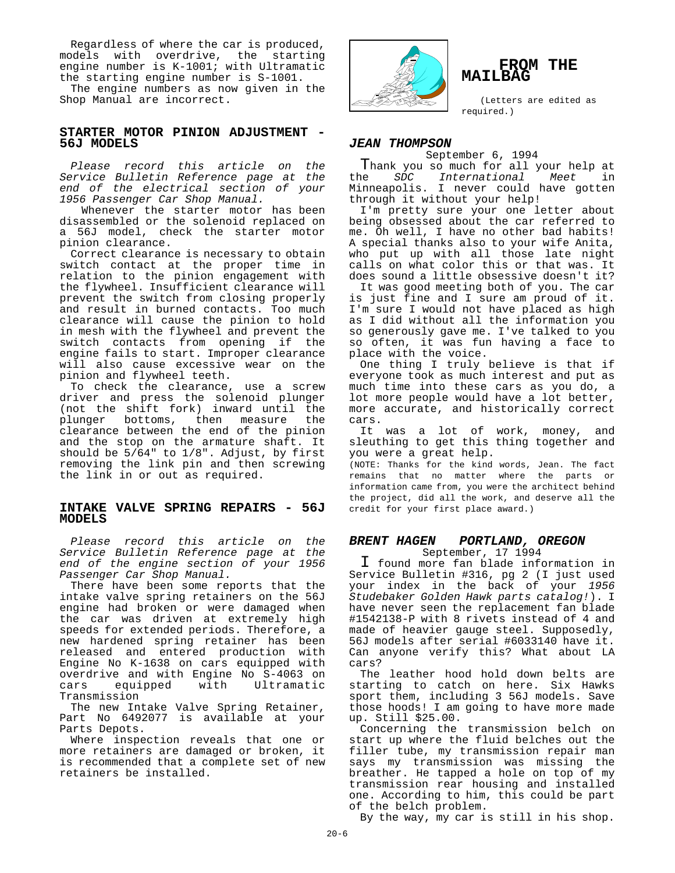Regardless of where the car is produced, models with overdrive, the starting engine number is K-1001; with Ultramatic the starting engine number is S-1001.

The engine numbers as now given in the Shop Manual are incorrect.

#### **STARTER MOTOR PINION ADJUSTMENT - 56J MODELS**

*Please record this article on the Service Bulletin Reference page at the end of the electrical section of your 1956 Passenger Car Shop Manual.*

 Whenever the starter motor has been disassembled or the solenoid replaced on a 56J model, check the starter motor pinion clearance.

Correct clearance is necessary to obtain switch contact at the proper time in relation to the pinion engagement with the flywheel. Insufficient clearance will prevent the switch from closing properly and result in burned contacts. Too much clearance will cause the pinion to hold in mesh with the flywheel and prevent the switch contacts from opening if the engine fails to start. Improper clearance will also cause excessive wear on the pinion and flywheel teeth.

To check the clearance, use a screw driver and press the solenoid plunger (not the shift fork) inward until the<br>plunger bottoms, then measure the plunger bottoms, then measure clearance between the end of the pinion and the stop on the armature shaft. It should be 5/64" to 1/8". Adjust, by first removing the link pin and then screwing the link in or out as required.

#### **INTAKE VALVE SPRING REPAIRS - 56J MODELS**

*Please record this article on the Service Bulletin Reference page at the end of the engine section of your 1956 Passenger Car Shop Manual.*

There have been some reports that the intake valve spring retainers on the 56J engine had broken or were damaged when the car was driven at extremely high speeds for extended periods. Therefore, a new hardened spring retainer has been released and entered production with Engine No K-1638 on cars equipped with overdrive and with Engine No S-4063 on cars equipped with Ultramatic Transmission

The new Intake Valve Spring Retainer, Part No 6492077 is available at your Parts Depots.

Where inspection reveals that one or more retainers are damaged or broken, it is recommended that a complete set of new retainers be installed.



#### **FROM THE MAILBAG**

(Letters are edited as required.)

#### *JEAN THOMPSON*

September 6, 1994

Thank you so much for all your help at<br>the SDC International Meet in the *SDC International Meet* in Minneapolis. I never could have gotten through it without your help!

I'm pretty sure your one letter about being obsessed about the car referred to me. Oh well, I have no other bad habits! A special thanks also to your wife Anita, who put up with all those late night calls on what color this or that was. It does sound a little obsessive doesn't it?

It was good meeting both of you. The car is just fine and I sure am proud of it. I'm sure I would not have placed as high as I did without all the information you so generously gave me. I've talked to you so often, it was fun having a face to place with the voice.

One thing I truly believe is that if everyone took as much interest and put as much time into these cars as you do, a lot more people would have a lot better, more accurate, and historically correct cars.

It was a lot of work, money, and sleuthing to get this thing together and you were a great help.

(NOTE: Thanks for the kind words, Jean. The fact remains that no matter where the parts or information came from, you were the architect behind the project, did all the work, and deserve all the credit for your first place award.)

#### *BRENT HAGEN PORTLAND, OREGON* September, 17 1994

I found more fan blade information in Service Bulletin #316, pg 2 (I just used your index in the back of your *1956 Studebaker Golden Hawk parts catalog!*). I have never seen the replacement fan blade #1542138-P with 8 rivets instead of 4 and made of heavier gauge steel. Supposedly, 56J models after serial #6033140 have it. Can anyone verify this? What about LA cars?

The leather hood hold down belts are starting to catch on here. Six Hawks sport them, including 3 56J models. Save those hoods! I am going to have more made up. Still \$25.00.

Concerning the transmission belch on start up where the fluid belches out the filler tube, my transmission repair man says my transmission was missing the breather. He tapped a hole on top of my transmission rear housing and installed one. According to him, this could be part of the belch problem.

By the way, my car is still in his shop.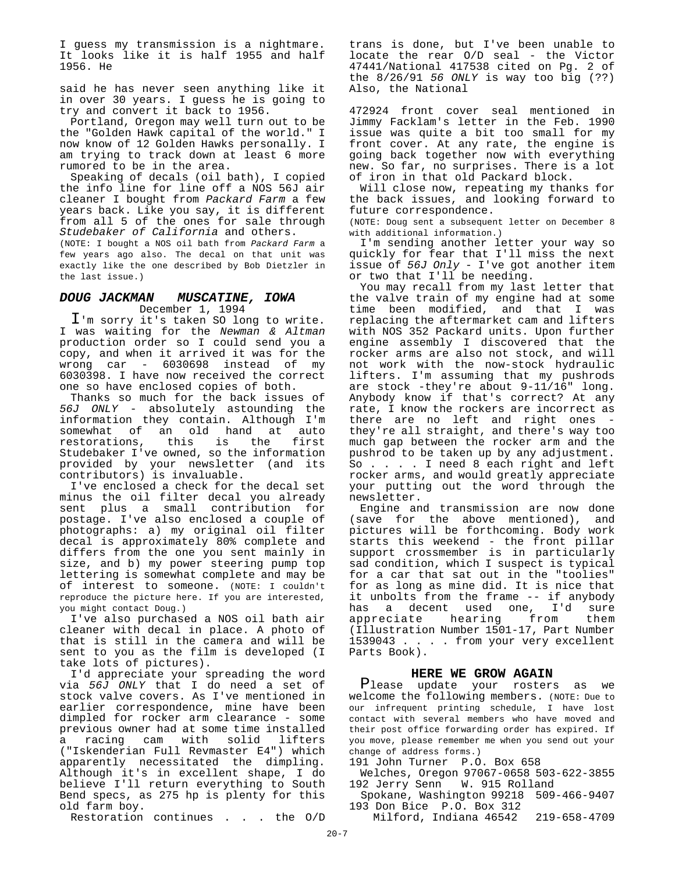I guess my transmission is a nightmare. It looks like it is half 1955 and half 1956. He

said he has never seen anything like it in over 30 years. I guess he is going to try and convert it back to 1956.

Portland, Oregon may well turn out to be the "Golden Hawk capital of the world." I now know of 12 Golden Hawks personally. I am trying to track down at least 6 more rumored to be in the area.

Speaking of decals (oil bath), I copied the info line for line off a NOS 56J air cleaner I bought from *Packard Farm* a few years back. Like you say, it is different from all 5 of the ones for sale through *Studebaker of California* and others.

(NOTE: I bought a NOS oil bath from *Packard Farm* a few years ago also. The decal on that unit was exactly like the one described by Bob Dietzler in the last issue.)

#### *DOUG JACKMAN MUSCATINE, IOWA*

December 1, 1994

I'm sorry it's taken SO long to write. I was waiting for the *Newman & Altman* production order so I could send you a copy, and when it arrived it was for the wrong car - 6030698 instead of my 6030398. I have now received the correct one so have enclosed copies of both.

Thanks so much for the back issues of *56J ONLY* - absolutely astounding the information they contain. Although I'm somewhat of an old hand at auto<br>restorations, this is the first restorations, Studebaker I've owned, so the information provided by your newsletter (and its contributors) is invaluable.

I've enclosed a check for the decal set minus the oil filter decal you already sent plus a small contribution for postage. I've also enclosed a couple of photographs: a) my original oil filter decal is approximately 80% complete and differs from the one you sent mainly in size, and b) my power steering pump top lettering is somewhat complete and may be of interest to someone. (NOTE: I couldn't reproduce the picture here. If you are interested, you might contact Doug.)

I've also purchased a NOS oil bath air cleaner with decal in place. A photo of that is still in the camera and will be sent to you as the film is developed (I take lots of pictures).

I'd appreciate your spreading the word via *56J ONLY* that I do need a set of stock valve covers. As I've mentioned in earlier correspondence, mine have been dimpled for rocker arm clearance - some previous owner had at some time installed a racing cam with solid lifters ("Iskenderian Full Revmaster E4") which apparently necessitated the dimpling. Although it's in excellent shape, I do believe I'll return everything to South Bend specs, as 275 hp is plenty for this old farm boy.

Restoration continues . . . the O/D

trans is done, but I've been unable to locate the rear O/D seal - the Victor 47441/National 417538 cited on Pg. 2 of the 8/26/91 *56 ONLY* is way too big (??) Also, the National

472924 front cover seal mentioned in Jimmy Facklam's letter in the Feb. 1990 issue was quite a bit too small for my front cover. At any rate, the engine is going back together now with everything new. So far, no surprises. There is a lot of iron in that old Packard block.

Will close now, repeating my thanks for the back issues, and looking forward to future correspondence.

(NOTE: Doug sent a subsequent letter on December 8 with additional information.)

I'm sending another letter your way so quickly for fear that I'll miss the next issue of *56J Only* - I've got another item or two that I'll be needing.

You may recall from my last letter that the valve train of my engine had at some time been modified, and that I was replacing the aftermarket cam and lifters with NOS 352 Packard units. Upon further engine assembly I discovered that the rocker arms are also not stock, and will not work with the now-stock hydraulic lifters. I'm assuming that my pushrods are stock -they're about 9-11/16" long. Anybody know if that's correct? At any rate, I know the rockers are incorrect as there are no left and right ones they're all straight, and there's way too much gap between the rocker arm and the pushrod to be taken up by any adjustment. So . . . . I need 8 each right and left rocker arms, and would greatly appreciate your putting out the word through the newsletter.

Engine and transmission are now done (save for the above mentioned), and pictures will be forthcoming. Body work starts this weekend - the front pillar support crossmember is in particularly sad condition, which I suspect is typical for a car that sat out in the "toolies" for as long as mine did. It is nice that it unbolts from the frame -- if anybody has a decent used one, I'd sure appreciate hearing from them (Illustration Number 1501-17, Part Number 1539043 . . . . from your very excellent Parts Book).

#### **HERE WE GROW AGAIN**

Please update your rosters as we welcome the following members. (NOTE: Due to our infrequent printing schedule, I have lost contact with several members who have moved and their post office forwarding order has expired. If you move, please remember me when you send out your change of address forms.)

191 John Turner P.O. Box 658

- Welches, Oregon 97067-0658 503-622-3855 192 Jerry Senn W. 915 Rolland
- Spokane, Washington 99218 509-466-9407 193 Don Bice P.O. Box 312
	- Milford, Indiana 46542 219-658-4709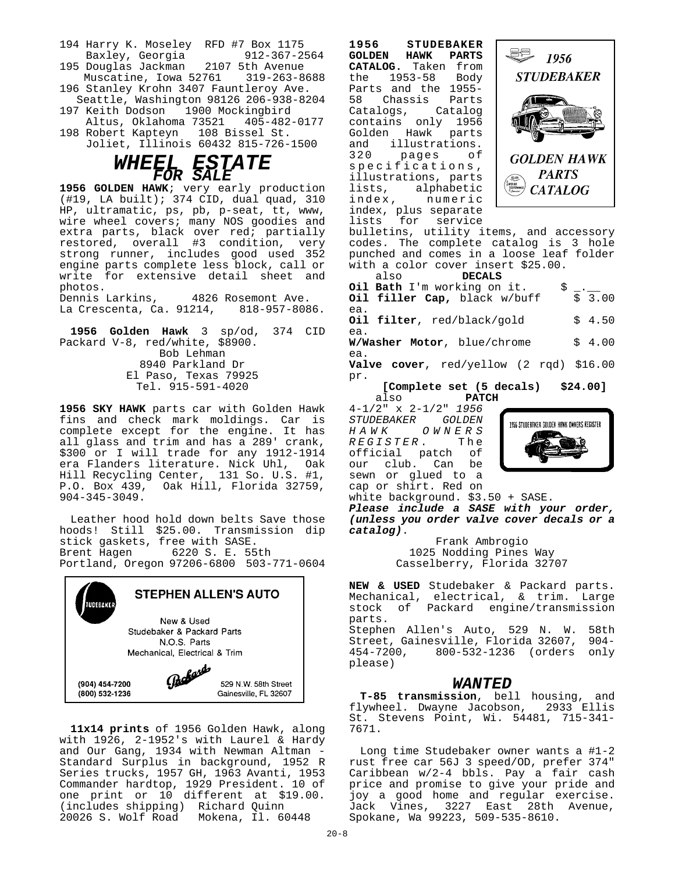- 194 Harry K. Moseley RFD #7 Box 1175 Baxley, Georgia
- 195 Douglas Jackman 2107 5th Avenue Muscatine, Iowa 52761 196 Stanley Krohn 3407 Fauntleroy Ave.
- Seattle, Washington 98126 206-938-8204 197 Keith Dodson 1900 Mockingbird
- Altus, Oklahoma 73521 405-482-0177 198 Robert Kapteyn 108 Bissel St.
	- Joliet, Illinois 60432 815-726-1500



**1956 GOLDEN HAWK**; very early production (#19, LA built); 374 CID, dual quad, 310 HP, ultramatic, ps, pb, p-seat, tt, www, wire wheel covers; many NOS goodies and extra parts, black over red; partially restored, overall #3 condition, very strong runner, includes good used 352 engine parts complete less block, call or write for extensive detail sheet and photos.<br>Dennis Larkins, 4826 Rosemont Ave.

La Crescenta, Ca. 91214, 818-957-8086.

**1956 Golden Hawk** 3 sp/od, 374 CID Packard V-8, red/white, \$8900. Bob Lehman 8940 Parkland Dr El Paso, Texas 79925 Tel. 915-591-4020

**1956 SKY HAWK** parts car with Golden Hawk fins and check mark moldings. Car is complete except for the engine. It has all glass and trim and has a 289' crank, \$300 or I will trade for any 1912-1914 era Flanders literature. Nick Uhl, Oak Hill Recycling Center, 131 So. U.S. #1, P.O. Box 439, Oak Hill, Florida 32759, 904-345-3049.

Leather hood hold down belts Save those hoods! Still \$25.00. Transmission dip stick gaskets, free with SASE. Brent Hagen 6220 S. E. 55th Portland, Oregon 97206-6800 503-771-0604



**11x14 prints** of 1956 Golden Hawk, along with  $1926$ , 2-1952's with Laurel & Hardy and Our Gang, 1934 with Newman Altman - Standard Surplus in background, 1952 R Series trucks, 1957 GH, 1963 Avanti, 1953 Commander hardtop, 1929 President. 10 of one print or 10 different at \$19.00. (includes shipping) Richard Quinn 20026 S. Wolf Road Mokena, Il. 60448

**1956 STUDEBAKER GOLDEN HAWK PARTS CATALOG.** Taken from the 1953-58 Parts and the 1955-<br>58 Chassis Parts Chassis Parts<br>logs, Catalog Catalogs, contains only 1956 Golden Hawk parts<br>and illustrations. illustrations.<br>pages of 320 pages specifications, illustrations, parts lists, alphabetic<br>index, numeric numeric index, plus separate lists for service



bulletins, utility items, and accessory codes. The complete catalog is 3 hole punched and comes in a loose leaf folder with a color cover insert \$25.00.

 also **DECALS Oil Bath** I'm working on it.  $\frac{1}{2}$ . Oil filler Cap, black w/buff ea. **Oil filter**, red/black/gold \$ 4.50 ea. **W/Washer Motor**, blue/chrome \$ 4.00 ea. **Valve cover**, red/yellow (2 rqd) \$16.00 pr. **[Complete set (5 decals) \$24.00]**

 also **PATCH** 4-1/2" x 2-1/2" *1956 STUDEBAKER GOLDEN HAWK OWNERS*  $REGISTER$ . official patch of our club. Can be sewn or glued to a cap or shirt. Red on



white background. \$3.50 + SASE. *Please include a SASE with your order,*

*(unless you order valve cover decals or a catalog)*.

Frank Ambrogio 1025 Nodding Pines Way Casselberry, Florida 32707

**NEW & USED** Studebaker & Packard parts. Mechanical, electrical, & trim. Large stock of Packard engine/transmission parts. Stephen Allen's Auto, 529 N. W. 58th Street, Gainesville, Florida 32607, 904- 454-7200, 800-532-1236 (orders only please)

#### *WANTED*

**T-85 transmission**, bell housing, and flywheel. Dwayne Jacobson, 2933 Ellis St. Stevens Point, Wi. 54481, 715-341- 7671.

Long time Studebaker owner wants a #1-2 rust free car 56J 3 speed/OD, prefer 374" Caribbean w/2-4 bbls. Pay a fair cash price and promise to give your pride and joy a good home and regular exercise. Jack Vines, 3227 East 28th Avenue, Spokane, Wa 99223, 509-535-8610.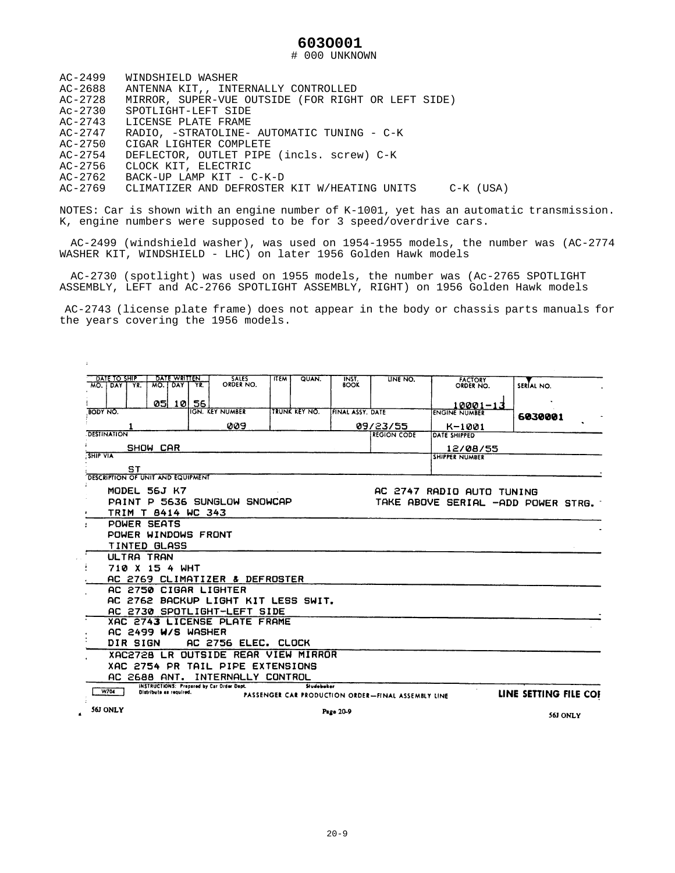#### **603O001**

# 000 UNKNOWN

| $AC-2499$   | WINDSHIELD WASHER                                      |
|-------------|--------------------------------------------------------|
| AC-2688     | ANTENNA KIT,, INTERNALLY CONTROLLED                    |
| AC-2728     | MIRROR, SUPER-VUE OUTSIDE (FOR RIGHT OR LEFT SIDE)     |
| Ac-2730     | SPOTLIGHT-LEFT SIDE                                    |
| $AC - 2743$ | LICENSE PLATE FRAME                                    |
| AC-2747     | RADIO, -STRATOLINE- AUTOMATIC TUNING - C-K             |
| AC-2750     | CIGAR LIGHTER COMPLETE                                 |
| AC-2754     | DEFLECTOR, OUTLET PIPE (incls. screw) C-K              |
| AC-2756     | CLOCK KIT, ELECTRIC                                    |
| AC-2762     | BACK-UP LAMP KIT - C-K-D                               |
| AC-2769     | CLIMATIZER AND DEFROSTER KIT W/HEATING UNITS C-K (USA) |

 $\mathcal{A}^{\pm}$ 

NOTES: Car is shown with an engine number of K-1001, yet has an automatic transmission. K, engine numbers were supposed to be for 3 speed/overdrive cars.

AC-2499 (windshield washer), was used on 1954-1955 models, the number was (AC-2774 WASHER KIT, WINDSHIELD - LHC) on later 1956 Golden Hawk models

AC-2730 (spotlight) was used on 1955 models, the number was (Ac-2765 SPOTLIGHT ASSEMBLY, LEFT and AC-2766 SPOTLIGHT ASSEMBLY, RIGHT) on 1956 Golden Hawk models

 AC-2743 (license plate frame) does not appear in the body or chassis parts manuals for the years covering the 1956 models.

|                | DATE TO SHIP                      |         |                         | <b>DATE WRITTEN</b> |     | <b>SALES</b>                                     | <b>ITEM</b> | <b>QUAN.</b>     | INST.             | LINE NO.                                           |                             |                                    |
|----------------|-----------------------------------|---------|-------------------------|---------------------|-----|--------------------------------------------------|-------------|------------------|-------------------|----------------------------------------------------|-----------------------------|------------------------------------|
| MO.            | <b>DAY</b>                        | YR.     | MO.                     | DAY                 | YR. | ORDER NO.                                        |             |                  | <b>BOOK</b>       |                                                    | <b>FACTORY</b><br>ORDER NO. | SERÍAL NO.                         |
|                |                                   |         |                         |                     |     |                                                  |             |                  |                   |                                                    |                             |                                    |
|                |                                   |         | 051                     | 101                 | 56  |                                                  |             |                  |                   |                                                    | 10001-13                    |                                    |
| BODY NO.       |                                   |         |                         |                     |     | <b>IGN KEY NUMBER</b>                            |             | TRUNK KEY NO.    | [FINAL ASSY, DATE |                                                    | <b>ENGINE NUMBER</b>        | 6030001                            |
|                |                                   |         |                         |                     |     | 009                                              |             |                  |                   | 09/23/55                                           | K-1001                      |                                    |
|                | <b>DESTINATION</b>                |         |                         |                     |     |                                                  |             |                  |                   | <b>REGION CODE</b>                                 | DATE SHIPPED                |                                    |
|                | SHOW CAR                          |         |                         |                     |     |                                                  |             |                  |                   |                                                    | 12/08/55                    |                                    |
|                | <b>SHIP VIA</b>                   |         |                         |                     |     |                                                  |             |                  |                   | <b>SHIPPER NUMBER</b>                              |                             |                                    |
|                |                                   | ST      |                         |                     |     |                                                  |             |                  |                   |                                                    |                             |                                    |
|                | DESCRIPTION OF UNIT AND EQUIPMENT |         |                         |                     |     |                                                  |             |                  |                   |                                                    |                             |                                    |
|                |                                   |         | MODEL 56J K7            |                     |     |                                                  |             |                  |                   |                                                    | AC 2747 RADIO AUTO TUNING   |                                    |
|                |                                   |         |                         |                     |     | PAINT P 5636 SUNGLOW SNOWCAP                     |             |                  |                   |                                                    |                             | TAKE ABOVE SERIAL -ADD POWER STRG. |
|                |                                   |         | TRIM T 8414 WC 343      |                     |     |                                                  |             |                  |                   |                                                    |                             |                                    |
|                |                                   |         | POWER SEATS             |                     |     |                                                  |             |                  |                   |                                                    |                             |                                    |
|                |                                   |         |                         |                     |     | POWER WINDOWS FRONT                              |             |                  |                   |                                                    |                             |                                    |
|                |                                   |         | TINTED GLASS            |                     |     |                                                  |             |                  |                   |                                                    |                             |                                    |
|                |                                   |         | ULTRA TRAN              |                     |     |                                                  |             |                  |                   |                                                    |                             |                                    |
|                |                                   |         | 710 X 15 4 WHT          |                     |     |                                                  |             |                  |                   |                                                    |                             |                                    |
|                |                                   |         |                         |                     |     | AC 2769 CLIMATIZER & DEFROSTER                   |             |                  |                   |                                                    |                             |                                    |
|                |                                   | AC 2750 |                         |                     |     | CIGAR LIGHTER                                    |             |                  |                   |                                                    |                             |                                    |
|                |                                   |         |                         |                     |     | AC 2762 BACKUP LIGHT KIT LESS SWIT.              |             |                  |                   |                                                    |                             |                                    |
|                |                                   |         |                         |                     |     | AC 2730 SPOTLIGHT-LEFT SIDE                      |             |                  |                   |                                                    |                             |                                    |
|                |                                   |         |                         |                     |     | XAC 2743 LICENSE PLATE FRAME                     |             |                  |                   |                                                    |                             |                                    |
|                | AC 2499 W/S<br>WASHER             |         |                         |                     |     |                                                  |             |                  |                   |                                                    |                             |                                    |
|                | DIR SIGN<br>AC 2756 ELEC. CLOCK   |         |                         |                     |     |                                                  |             |                  |                   |                                                    |                             |                                    |
|                |                                   | XAC2728 |                         | LR.                 |     | OUTSIDE                                          |             | REAR VIEW MIRROR |                   |                                                    |                             |                                    |
|                |                                   |         | XAC 2754 PR             |                     |     | TAIL PIPE EXTENSIONS                             |             |                  |                   |                                                    |                             |                                    |
|                |                                   |         | AC 2688 ANT.            |                     |     | INTERNALLY                                       | CONTROL     |                  |                   |                                                    |                             |                                    |
|                | W704                              |         | Distribute as required. |                     |     | <b>INSTRUCTIONS: Prepared by Car Order Dept.</b> |             | Studebaker       |                   | PASSENGER CAR PRODUCTION ORDER-FINAL ASSEMBLY LINE |                             | LINE SETTING FILE COF              |
| $\blacksquare$ | <b>56J ONLY</b>                   |         |                         |                     |     |                                                  |             |                  | Page 20-9         |                                                    |                             | 56J ONLY                           |